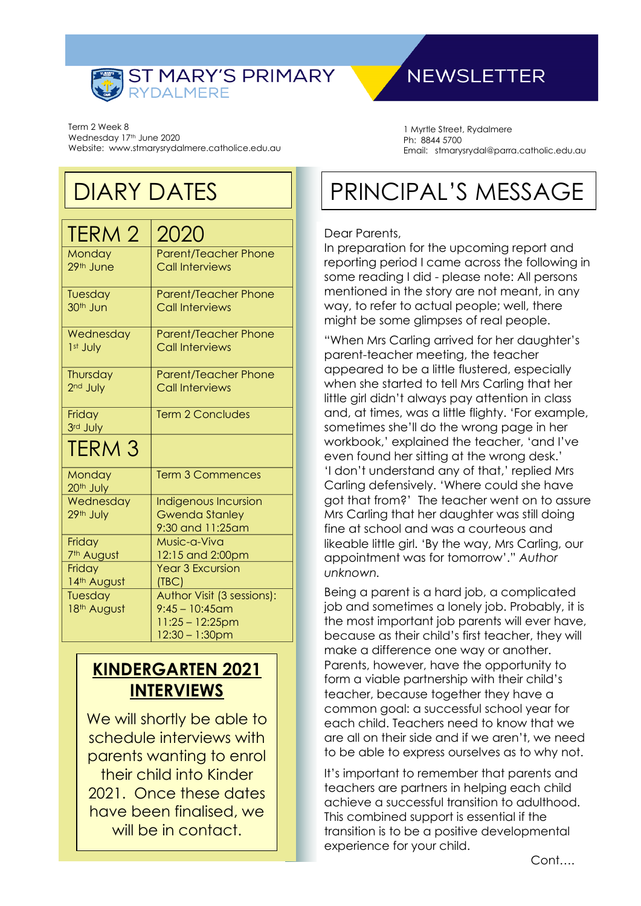

### **NEWSLETTER**

Term 2 Week 8 Wednesday 17th June 2020 Website: www.stmarysrydalmere.catholice.edu.au

### DIARY DATES

| TERM 2                          | 2020                                        |  |
|---------------------------------|---------------------------------------------|--|
| Monday                          | <b>Parent/Teacher Phone</b>                 |  |
| 29th June                       | <b>Call Interviews</b>                      |  |
| Tuesday                         | <b>Parent/Teacher Phone</b>                 |  |
| 30 <sup>th</sup> Jun            | <b>Call Interviews</b>                      |  |
| Wednesday                       | <b>Parent/Teacher Phone</b>                 |  |
| 1 <sup>st</sup> July            | <b>Call Interviews</b>                      |  |
| Thursday                        | <b>Parent/Teacher Phone</b>                 |  |
| 2 <sup>nd</sup> July            | <b>Call Interviews</b>                      |  |
| Friday                          | <b>Term 2 Concludes</b>                     |  |
| 3rd July                        |                                             |  |
| <b>TERM 3</b>                   |                                             |  |
| Monday<br>20 <sup>th</sup> July | <b>Term 3 Commences</b>                     |  |
| Wednesday                       | <b>Indigenous Incursion</b>                 |  |
| 29th July                       | <b>Gwenda Stanley</b>                       |  |
|                                 | 9:30 and 11:25am                            |  |
| Friday                          | Music-a-Viva                                |  |
| 7 <sup>th</sup> August          | 12:15 and 2:00pm<br><b>Year 3 Excursion</b> |  |
| Friday<br>14th August           | (TBC)                                       |  |
| Tuesday                         | Author Visit (3 sessions):                  |  |
| 18th August                     | $9:45 - 10:45$ am                           |  |
|                                 | $11:25 - 12:25$ pm                          |  |
|                                 | $12:30 - 1:30$ pm                           |  |
|                                 |                                             |  |

### **KINDERGARTEN 2021 INTERVIEWS**

We will shortly be able to schedule interviews with parents wanting to enrol their child into Kinder 2021. Once these dates have been finalised, we will be in contact.

1 Myrtle Street, Rydalmere Ph: 8844 5700 Email: stmarysrydal@parra.catholic.edu.au

## PRINCIPAL'S MESSAGE

#### Dear Parents,

In preparation for the upcoming report and reporting period I came across the following in some reading I did - please note: All persons mentioned in the story are not meant, in any way, to refer to actual people; well, there might be some glimpses of real people.

"When Mrs Carling arrived for her daughter's parent-teacher meeting, the teacher appeared to be a little flustered, especially when she started to tell Mrs Carling that her little girl didn't always pay attention in class and, at times, was a little flighty. 'For example, sometimes she'll do the wrong page in her workbook,' explained the teacher, 'and I've even found her sitting at the wrong desk.' 'I don't understand any of that,' replied Mrs Carling defensively. 'Where could she have got that from?' The teacher went on to assure Mrs Carling that her daughter was still doing fine at school and was a courteous and likeable little girl. 'By the way, Mrs Carling, our appointment was for tomorrow'." *Author unknown.*

Being a parent is a hard job, a complicated job and sometimes a lonely job. Probably, it is the most important job parents will ever have, because as their child's first teacher, they will make a difference one way or another. Parents, however, have the opportunity to form a viable partnership with their child's teacher, because together they have a common goal: a successful school year for each child. Teachers need to know that we are all on their side and if we aren't, we need to be able to express ourselves as to why not.

It's important to remember that parents and teachers are partners in helping each child achieve a successful transition to adulthood. This combined support is essential if the transition is to be a positive developmental experience for your child.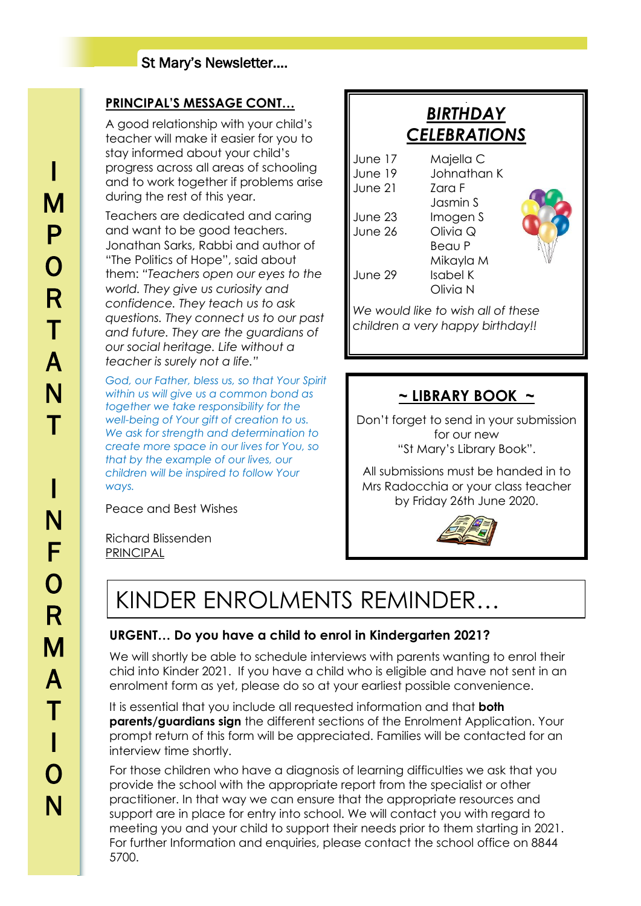### St Mary's Newsletter….

### **PRINCIPAL'S MESSAGE CONT…**

A good relationship with your child's teacher will make it easier for you to stay informed about your child's progress across all areas of schooling and to work together if problems arise during the rest of this year.

Teachers are dedicated and caring and want to be good teachers. Jonathan Sarks, Rabbi and author of "The Politics of Hope", said about them: *"Teachers open our eyes to the world. They give us curiosity and confidence. They teach us to ask questions. They connect us to our past and future. They are the guardians of our social heritage. Life without a teacher is surely not a life."*

*God, our Father, bless us, so that Your Spirit within us will give us a common bond as together we take responsibility for the well-being of Your gift of creation to us. We ask for strength and determination to create more space in our lives for You, so that by the example of our lives, our children will be inspired to follow Your ways.*

Peace and Best Wishes

Richard Blissenden PRINCIPAL

| <b>CELEBRATIONS</b>           |                                                |  |
|-------------------------------|------------------------------------------------|--|
| June 17<br>June 19<br>June 21 | Majella C<br>Johnathan K<br>7ara F<br>Jasmin S |  |
| June 23<br>June 26            | Imogen S<br>Olivia Q<br>Beau P                 |  |
| June 29                       | Mikayla M<br>Isabel K<br>Olivia N              |  |
|                               |                                                |  |

J *BIRTHDAY* 

*We would like to wish all of these children a very happy birthday!!*

### **~ LIBRARY BOOK ~**

Don't forget to send in your submission for our new "St Mary's Library Book".

All submissions must be handed in to Mrs Radocchia or your class teacher by Friday 26th June 2020.



### KINDER ENROLMENTS REMINDER…

### **URGENT… Do you have a child to enrol in Kindergarten 2021?**

We will shortly be able to schedule interviews with parents wanting to enrol their chid into Kinder 2021. If you have a child who is eligible and have not sent in an enrolment form as yet, please do so at your earliest possible convenience.

It is essential that you include all requested information and that **both parents/guardians sign** the different sections of the Enrolment Application. Your prompt return of this form will be appreciated. Families will be contacted for an interview time shortly.

For those children who have a diagnosis of learning difficulties we ask that you provide the school with the appropriate report from the specialist or other practitioner. In that way we can ensure that the appropriate resources and support are in place for entry into school. We will contact you with regard to meeting you and your child to support their needs prior to them starting in 2021. For further Information and enquiries, please contact the school office on 8844 5700.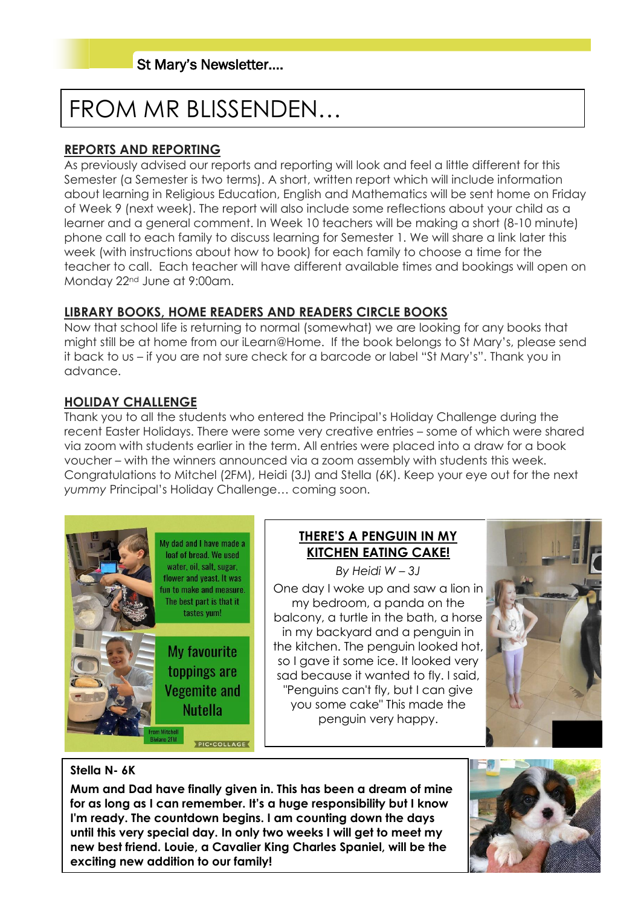# FROM MR BLISSENDEN…

### **REPORTS AND REPORTING**

As previously advised our reports and reporting will look and feel a little different for this Semester (a Semester is two terms). A short, written report which will include information about learning in Religious Education, English and Mathematics will be sent home on Friday of Week 9 (next week). The report will also include some reflections about your child as a learner and a general comment. In Week 10 teachers will be making a short (8-10 minute) phone call to each family to discuss learning for Semester 1. We will share a link later this week (with instructions about how to book) for each family to choose a time for the teacher to call. Each teacher will have different available times and bookings will open on Monday 22nd June at 9:00am.

### **LIBRARY BOOKS, HOME READERS AND READERS CIRCLE BOOKS**

Now that school life is returning to normal (somewhat) we are looking for any books that might still be at home from our iLearn@Home. If the book belongs to St Mary's, please send it back to us – if you are not sure check for a barcode or label "St Mary's". Thank you in advance.

### **HOLIDAY CHALLENGE**

Thank you to all the students who entered the Principal's Holiday Challenge during the recent Easter Holidays. There were some very creative entries – some of which were shared via zoom with students earlier in the term. All entries were placed into a draw for a book voucher – with the winners announced via a zoom assembly with students this week. Congratulations to Mitchel (2FM), Heidi (3J) and Stella (6K). Keep your eye out for the next *yummy* Principal's Holiday Challenge… coming soon.



### **THERE'S A PENGUIN IN MY KITCHEN EATING CAKE!**

*By Heidi W – 3J* One day I woke up and saw a lion in my bedroom, a panda on the balcony, a turtle in the bath, a horse in my backyard and a penguin in the kitchen. The penguin looked hot, so I gave it some ice. It looked very sad because it wanted to fly. I said, "Penguins can't fly, but I can give you some cake" This made the penguin very happy.



#### **Stella N- 6K**

**Mum and Dad have finally given in. This has been a dream of mine for as long as I can remember. It's a huge responsibility but I know I'm ready. The countdown begins. I am counting down the days until this very special day. In only two weeks I will get to meet my new best friend. Louie, a Cavalier King Charles Spaniel, will be the exciting new addition to our family!**